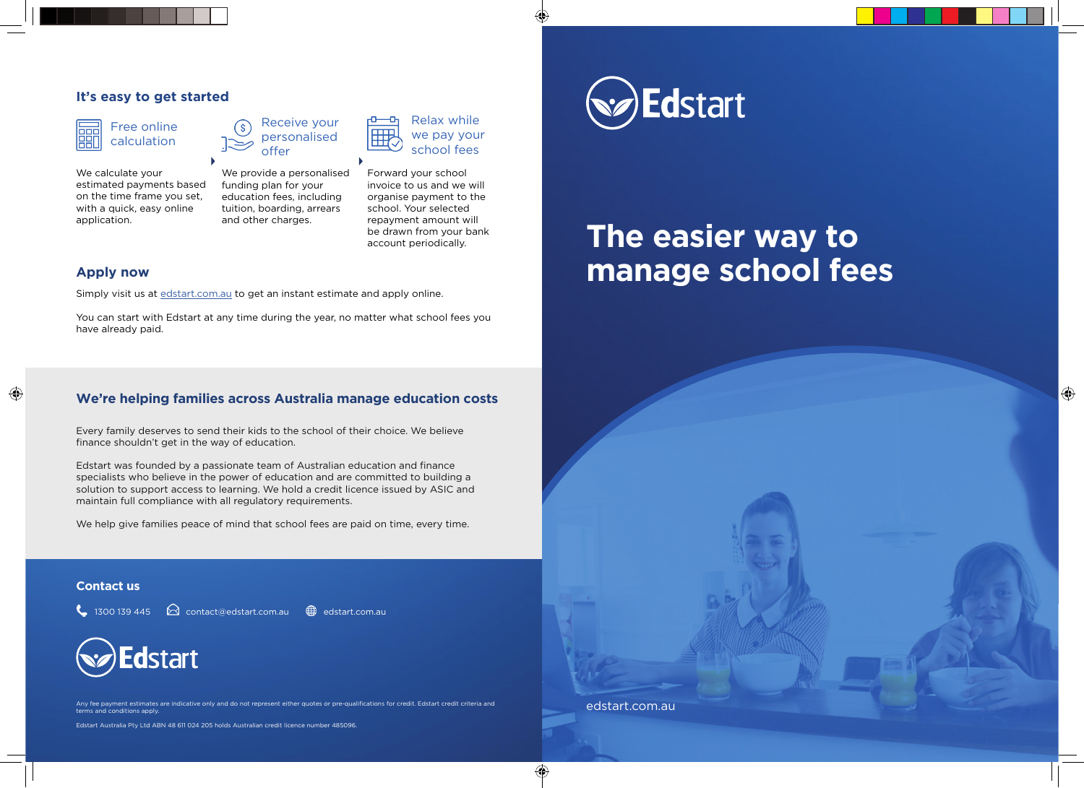#### **It's easy to get started**

Free online calculation

We calculate your estimated payments based on the time frame you set, with a quick, easy online application.



Receive your personalised

tuition, boarding, arrears and other charges. school. Your selected repayment amount will be drawn from your bank

Forward your school invoice to us and we will organise payment to the we pay your school fees

Relax while

account periodically.

#### **Apply now**

◈

Simply visit us at edstart.com.au to get an instant estimate and apply online.

You can start with Edstart at any time during the year, no matter what school fees you have already paid.

## **We're helping families across Australia manage education costs**

Every family deserves to send their kids to the school of their choice. We believe finance shouldn't get in the way of education.

Edstart was founded by a passionate team of Australian education and finance specialists who believe in the power of education and are committed to building a solution to support access to learning. We hold a credit licence issued by ASIC and maintain full compliance with all regulatory requirements.

We help give families peace of mind that school fees are paid on time, every time.

#### **Contact us**

 $\leftarrow$  1300 139 445  $\Omega$  contact@edstart.com.au  $\bigoplus$  edstart.com.au



Any fee payment estimates are indicative only and do not represent either quotes or pre-qualifications for credit. Edstart credit criteria and terms and conditions apply.

Edstart Australia Pty Ltd ABN 48 611 024 205 holds Australian credit licence number 485096.



# **The easier way to manage school fees**

 $\bigoplus$ 

edstart.com.au

⊕